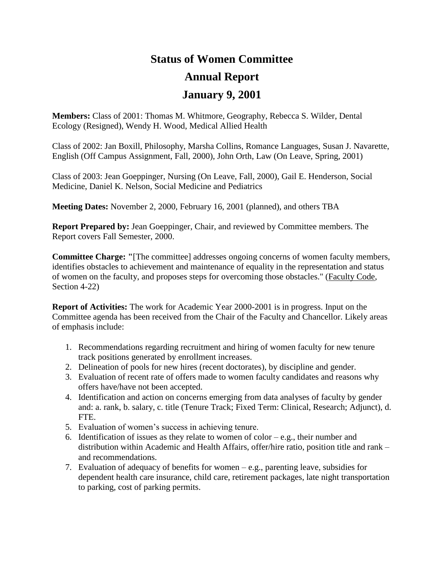## **Status of Women Committee Annual Report**

## **January 9, 2001**

**Members:** Class of 2001: Thomas M. Whitmore, Geography, Rebecca S. Wilder, Dental Ecology (Resigned), Wendy H. Wood, Medical Allied Health

Class of 2002: Jan Boxill, Philosophy, Marsha Collins, Romance Languages, Susan J. Navarette, English (Off Campus Assignment, Fall, 2000), John Orth, Law (On Leave, Spring, 2001)

Class of 2003: Jean Goeppinger, Nursing (On Leave, Fall, 2000), Gail E. Henderson, Social Medicine, Daniel K. Nelson, Social Medicine and Pediatrics

**Meeting Dates:** November 2, 2000, February 16, 2001 (planned), and others TBA

**Report Prepared by:** Jean Goeppinger, Chair, and reviewed by Committee members. The Report covers Fall Semester, 2000.

**Committee Charge: "**[The committee] addresses ongoing concerns of women faculty members, identifies obstacles to achievement and maintenance of equality in the representation and status of women on the faculty, and proposes steps for overcoming those obstacles." (Faculty Code, Section 4-22)

**Report of Activities:** The work for Academic Year 2000-2001 is in progress. Input on the Committee agenda has been received from the Chair of the Faculty and Chancellor. Likely areas of emphasis include:

- 1. Recommendations regarding recruitment and hiring of women faculty for new tenure track positions generated by enrollment increases.
- 2. Delineation of pools for new hires (recent doctorates), by discipline and gender.
- 3. Evaluation of recent rate of offers made to women faculty candidates and reasons why offers have/have not been accepted.
- 4. Identification and action on concerns emerging from data analyses of faculty by gender and: a. rank, b. salary, c. title (Tenure Track; Fixed Term: Clinical, Research; Adjunct), d. FTE.
- 5. Evaluation of women's success in achieving tenure.
- 6. Identification of issues as they relate to women of color  $-e.g.,$  their number and distribution within Academic and Health Affairs, offer/hire ratio, position title and rank – and recommendations.
- 7. Evaluation of adequacy of benefits for women e.g., parenting leave, subsidies for dependent health care insurance, child care, retirement packages, late night transportation to parking, cost of parking permits.